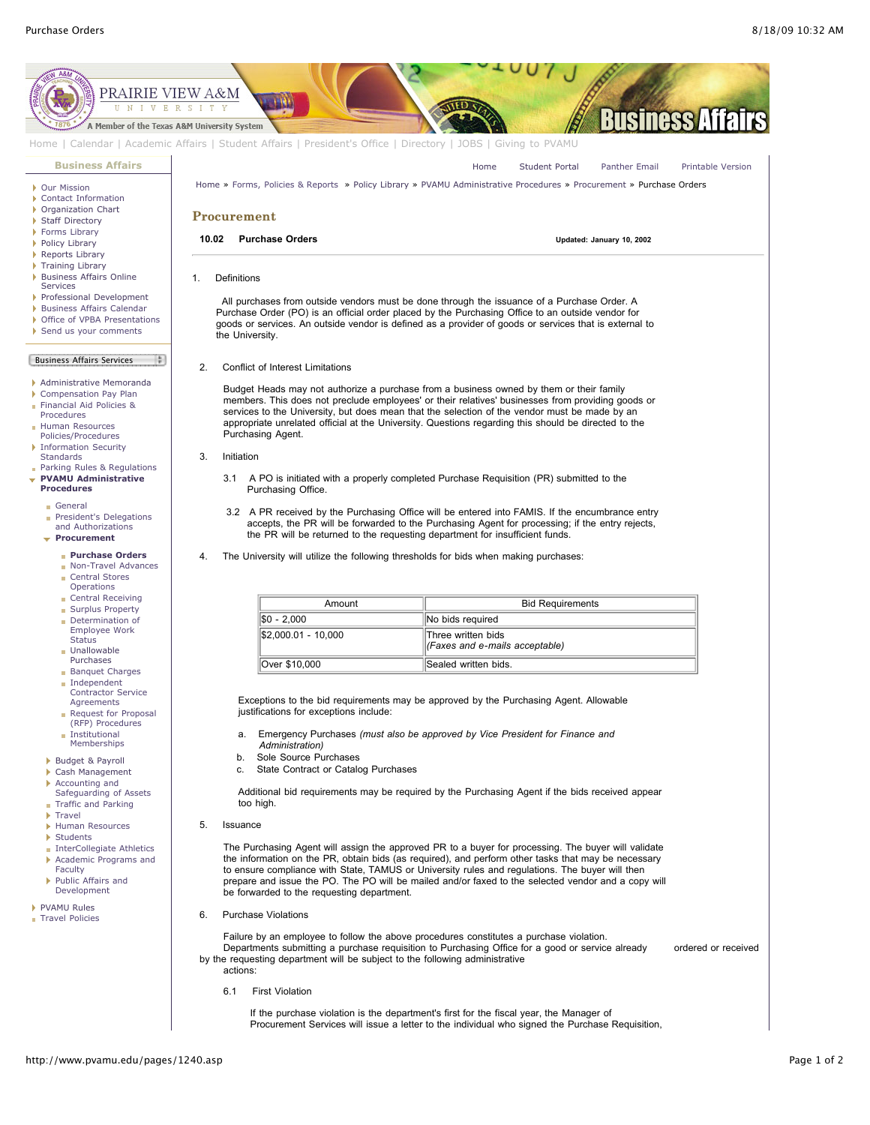